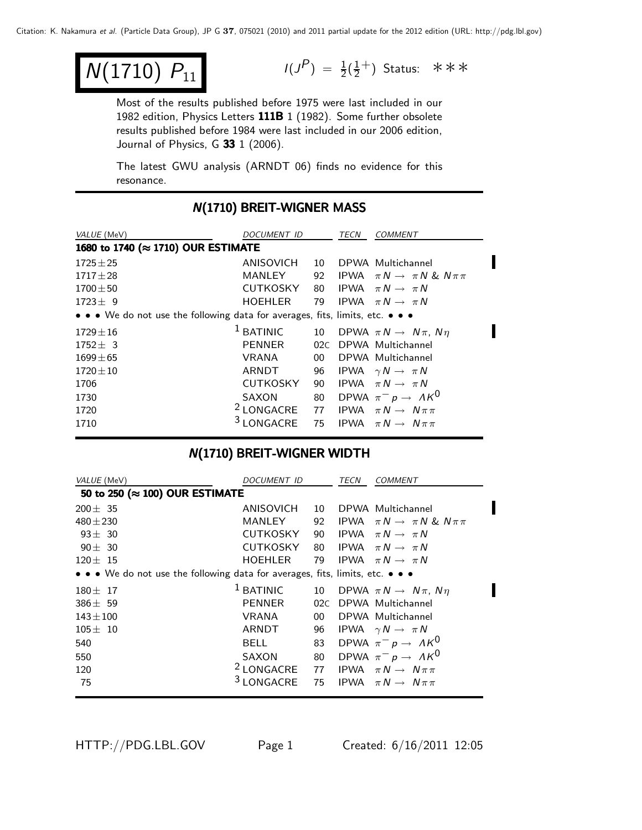$$
N(1710) P_{11}
$$

 $N(1710)$   $P_{11}$   $I(J^P) = \frac{1}{2}(\frac{1}{2}^+)$  Status: \*\*\*

Most of the results published before 1975 were last included in our 1982 edition, Physics Letters 111B 1 (1982). Some further obsolete results published before 1984 were last included in our 2006 edition, Journal of Physics,  $G$  33 1 (2006).

The latest GWU analysis (ARNDT 06) finds no evidence for this resonance.

| VALUE (MeV)                                                                   | <i>DOCUMENT ID</i>    |                 | TECN | <b>COMMENT</b>                              |
|-------------------------------------------------------------------------------|-----------------------|-----------------|------|---------------------------------------------|
| 1680 to 1740 (≈ 1710) OUR ESTIMATE                                            |                       |                 |      |                                             |
| $1725 \pm 25$                                                                 | ANISOVICH             | 10              |      | DPWA Multichannel                           |
| $1717 \pm 28$                                                                 | MANLEY                | 92              |      | IPWA $\pi N \rightarrow \pi N \& N \pi \pi$ |
| $1700 \pm 50$                                                                 | <b>CUTKOSKY</b>       | 80              |      | IPWA $\pi N \rightarrow \pi N$              |
| $1723 + 9$                                                                    | <b>HOEHLER</b>        | 79              |      | IPWA $\pi N \rightarrow \pi N$              |
| • • • We do not use the following data for averages, fits, limits, etc. • • • |                       |                 |      |                                             |
| $1729 \pm 16$                                                                 | $1$ BATINIC           | 10              |      | DPWA $\pi N \rightarrow N \pi$ , $N \eta$   |
| $1752 \pm 3$                                                                  | <b>PENNER</b>         | 02C             |      | DPWA Multichannel                           |
| $1699 \pm 65$                                                                 | <b>VRANA</b>          | 00 <sup>°</sup> |      | DPWA Multichannel                           |
| $1720 \pm 10$                                                                 | ARNDT                 | 96              |      | IPWA $\gamma N \to \pi N$                   |
| 1706                                                                          | <b>CUTKOSKY</b>       | 90              |      | IPWA $\pi N \rightarrow \pi N$              |
| 1730                                                                          | SAXON                 | 80              |      | DPWA $\pi^- p \to \Lambda K^0$              |
| 1720                                                                          | <sup>2</sup> LONGACRE | 77              |      | IPWA $\pi N \rightarrow N \pi \pi$          |
| 1710                                                                          | <b>ONGACRE</b>        | 75              |      | <b>IPWA</b> $\pi N \rightarrow N \pi \pi$   |

#### N(1710) BREIT-WIGNER MASS (1710) BREIT-WIGNER MASS

#### N(1710) BREIT-WIGNER WIDTH

| VALUE (MeV)                                                                   | <i>DOCUMENT ID</i>    |                 | TECN | <b>COMMENT</b>                               |
|-------------------------------------------------------------------------------|-----------------------|-----------------|------|----------------------------------------------|
| 50 to 250 (≈ 100) OUR ESTIMATE                                                |                       |                 |      |                                              |
| $200 \pm 35$                                                                  | ANISOVICH             | 10              |      | DPWA Multichannel                            |
| $480 \pm 230$                                                                 | MANLEY                | 92              |      | IPWA $\pi N \rightarrow \pi N \& N \pi \pi$  |
| $93 \pm 30$                                                                   | <b>CUTKOSKY</b>       | 90              |      | IPWA $\pi N \rightarrow \pi N$               |
| $90 \pm 30$                                                                   | <b>CUTKOSKY</b>       | 80              |      | IPWA $\pi N \rightarrow \pi N$               |
| $120 \pm 15$                                                                  | HOEHLER               | 79              |      | IPWA $\pi N \rightarrow \pi N$               |
| • • • We do not use the following data for averages, fits, limits, etc. • • • |                       |                 |      |                                              |
| $180 + 17$                                                                    | $1$ BATINIC           |                 |      | 10 DPWA $\pi N \rightarrow N \pi$ , $N \eta$ |
| $386 \pm 59$                                                                  | <b>PENNER</b>         | 02C             |      | DPWA Multichannel                            |
| $143 + 100$                                                                   | <b>VRANA</b>          | 00 <sup>1</sup> |      | DPWA Multichannel                            |
| $105 \pm 10$                                                                  | ARNDT                 | 96              |      | IPWA $\gamma N \rightarrow \pi N$            |
| 540                                                                           | <b>BELL</b>           | 83              |      | DPWA $\pi^- p \to A K^0$                     |
| 550                                                                           | SAXON                 | 80              |      | DPWA $\pi^ p \to \Lambda K^0$                |
| 120                                                                           | <sup>2</sup> LONGACRE | 77              |      | IPWA $\pi N \rightarrow N \pi \pi$           |
| 75                                                                            | <sup>3</sup> LONGACRE | 75              |      | <b>IPWA</b> $\pi N \rightarrow N \pi \pi$    |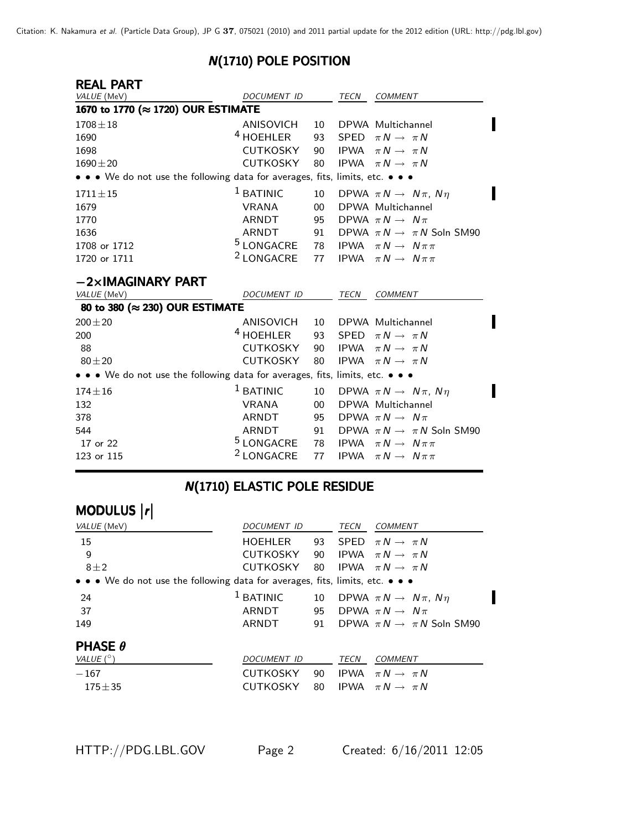### N(1710) POLE POSITION

| <b>REAL PART</b>                                                              |                                            |        |      |                                           |
|-------------------------------------------------------------------------------|--------------------------------------------|--------|------|-------------------------------------------|
| VALUE (MeV)                                                                   | DOCUMENT ID                                |        | TECN | <b>COMMENT</b>                            |
| 1670 to 1770 (≈ 1720) OUR ESTIMATE                                            |                                            |        |      |                                           |
| $1708 \pm 18$                                                                 | ANISOVICH                                  | 10     |      | DPWA Multichannel                         |
| 1690                                                                          | $4$ HOEHLER                                | 93     |      | SPED $\pi N \rightarrow \pi N$            |
| 1698                                                                          | <b>CUTKOSKY</b>                            | 90     |      | IPWA $\pi N \rightarrow \pi N$            |
| $1690 \pm 20$                                                                 | <b>CUTKOSKY</b>                            | 80     |      | IPWA $\pi N \rightarrow \pi N$            |
| • • • We do not use the following data for averages, fits, limits, etc. • • • |                                            |        |      |                                           |
| $1711 \pm 15$                                                                 | $1$ BATINIC                                | 10     |      | DPWA $\pi N \rightarrow N \pi$ , $N \eta$ |
| 1679                                                                          | <b>VRANA</b>                               | $00\,$ |      | DPWA Multichannel                         |
| 1770                                                                          | ARNDT                                      | 95     |      | DPWA $\pi N \rightarrow N \pi$            |
| 1636                                                                          | ARNDT                                      | 91     |      | DPWA $\pi N \rightarrow \pi N$ Soln SM90  |
| 1708 or 1712                                                                  | <sup>5</sup> LONGACRE                      | 78     |      | <b>IPWA</b> $\pi N \rightarrow N \pi \pi$ |
| 1720 or 1711                                                                  | <sup>2</sup> LONGACRE                      | 77     |      | IPWA $\pi N \rightarrow N \pi \pi$        |
| $-2\times$ IMAGINARY PART                                                     |                                            |        |      |                                           |
| VALUE (MeV)                                                                   | <b>DOCUMENT ID</b>                         |        | TECN | <b>COMMENT</b>                            |
| 80 to 380 (≈ 230) OUR ESTIMATE                                                |                                            |        |      |                                           |
| $200 + 20$                                                                    | $\Lambda$ NIIC $\cap$ $\Lambda$ /IC $\Box$ |        |      | $10 \quad \text{DDIMA}$ $M_{\text{u}}$    |

| $200 \pm 20$                                                                  | ANISOVICH 10 DPWA Multichannel                              |                 |                                                                   |
|-------------------------------------------------------------------------------|-------------------------------------------------------------|-----------------|-------------------------------------------------------------------|
|                                                                               |                                                             |                 |                                                                   |
| 200                                                                           | <sup>4</sup> HOEHLER 93 SPED $\pi N \rightarrow \pi N$      |                 |                                                                   |
| 88                                                                            | CUTKOSKY                                                    |                 | 90 IPWA $\pi N \rightarrow \pi N$                                 |
| $80\pm20$                                                                     | CUTKOSKY 80 IPWA $\pi N \rightarrow \pi N$                  |                 |                                                                   |
| • • • We do not use the following data for averages, fits, limits, etc. • • • |                                                             |                 |                                                                   |
| $174\pm16$                                                                    |                                                             |                 | <sup>1</sup> BATINIC 10 DPWA $\pi N \rightarrow N \pi$ , $N \eta$ |
| 132                                                                           | VRANA                                                       | 00 <sup>1</sup> | DPWA Multichannel                                                 |
| 378                                                                           | ARNDT                                                       |                 | 95 DPWA $\pi N \rightarrow N \pi$                                 |
| 544                                                                           | ARNDT                                                       | 91              | DPWA $\pi N \rightarrow \pi N$ Soln SM90                          |
| 17 or 22                                                                      | <sup>5</sup> LONGACRE 78 IPWA $\pi N \rightarrow N \pi \pi$ |                 |                                                                   |
| 123 or 115                                                                    | <sup>2</sup> LONGACRE 77 IPWA $\pi N \rightarrow N \pi \pi$ |                 |                                                                   |
|                                                                               |                                                             |                 |                                                                   |

## **N(1710) ELASTIC POLE RESIDUE**

# MODULUS |r|

| VALUE (MeV)                                                                                                           | DOCUMENT ID        |    | TECN | <b>COMMENT</b>                            |  |
|-----------------------------------------------------------------------------------------------------------------------|--------------------|----|------|-------------------------------------------|--|
| 15                                                                                                                    | HOEHLER            | 93 |      | SPED $\pi N \rightarrow \pi N$            |  |
| 9                                                                                                                     | <b>CUTKOSKY</b>    | 90 |      | IPWA $\pi N \rightarrow \pi N$            |  |
| $8\pm2$                                                                                                               | CUTKOSKY           | 80 |      | IPWA $\pi N \rightarrow \pi N$            |  |
| $\bullet \bullet \bullet$ We do not use the following data for averages, fits, limits, etc. $\bullet \bullet \bullet$ |                    |    |      |                                           |  |
| 24                                                                                                                    | $1$ BATINIC        | 10 |      | DPWA $\pi N \rightarrow N \pi$ , $N \eta$ |  |
| 37                                                                                                                    | ARNDT              | 95 |      | DPWA $\pi N \rightarrow N \pi$            |  |
| 149                                                                                                                   | ARNDT              | 91 |      | DPWA $\pi N \rightarrow \pi N$ Soln SM90  |  |
| <b>PHASE <math>\theta</math></b>                                                                                      |                    |    |      |                                           |  |
| VALUE $(^\circ)$                                                                                                      | <b>DOCUMENT ID</b> |    | TECN | <b>COMMENT</b>                            |  |
| $-167$                                                                                                                | <b>CUTKOSKY</b>    | 90 |      | IPWA $\pi N \rightarrow \pi N$            |  |
| $175 + 35$                                                                                                            | <b>CUTKOSKY</b>    | 80 | IPWA | $\pi N \rightarrow \pi N$                 |  |

 $\blacksquare$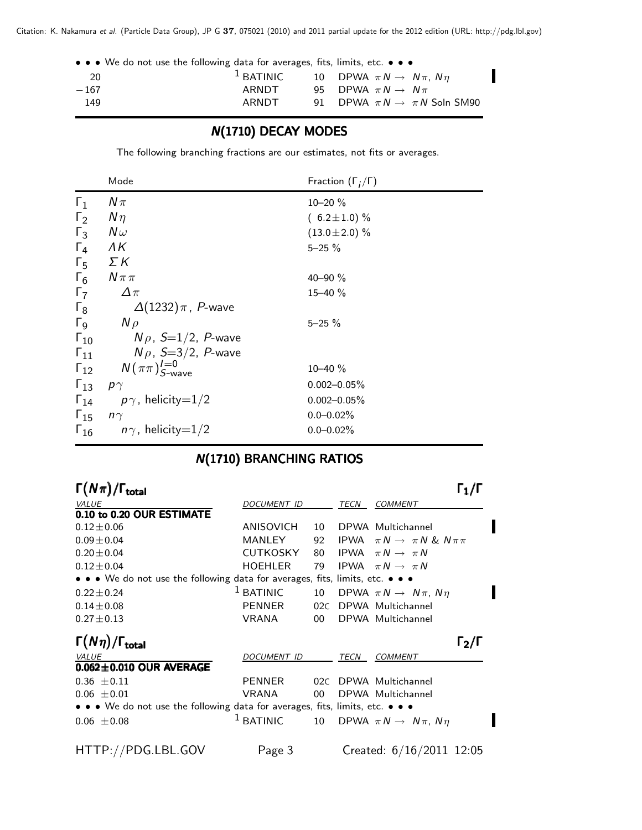• • • We do not use the following data for averages, fits, limits, etc. • • •

| 20     |       | <sup>1</sup> BATINIC 10 DPWA $\pi N \rightarrow N \pi$ , $N \eta$ |
|--------|-------|-------------------------------------------------------------------|
| $-167$ | ARNDT | 95 DPWA $\pi N \rightarrow N \pi$                                 |
| 149    | ARNDT | 91 DPWA $\pi N \rightarrow \pi N$ Soln SM90                       |

#### **N(1710) DECAY MODES**

The following branching fractions are our estimates, not fits or averages.

|                       | Mode                              | Fraction $(\Gamma_i/\Gamma)$ |
|-----------------------|-----------------------------------|------------------------------|
| $\Gamma_1$            | $N\pi$                            | $10 - 20 \%$                 |
| $\Gamma_2$            | $N\eta$                           | $(6.2 \pm 1.0) \%$           |
| $\Gamma_3$            | $N\omega$                         | $(13.0 \pm 2.0)$ %           |
| $\Gamma_4$            | ΛK                                | $5 - 25 \%$                  |
| $\Gamma_5$            | ΣΚ                                |                              |
| $\Gamma_6$            | $N\pi\pi$                         | $40 - 90 \%$                 |
| $\Gamma_7$            | $\Delta \pi$                      | 15-40 %                      |
| $\Gamma_8$            | $\Delta(1232)\pi$ , P-wave        |                              |
| $\Gamma$ <sub>9</sub> | $N \rho$                          | $5 - 25 \%$                  |
| $\Gamma_{10}$         | $N\rho$ , S=1/2, P-wave           |                              |
| $\Gamma_{11}$         | $N\rho$ , S=3/2, P-wave           |                              |
| $\Gamma_{12}$         | $N(\pi\pi)_{S\text{-wave}}^{I=0}$ | 10-40 %                      |
| $\Gamma_{13}$         | $p\gamma$                         | $0.002 - 0.05\%$             |
| $\Gamma_{14}$         | $p\gamma$ , helicity=1/2          | $0.002 - 0.05\%$             |
| $\Gamma_{15}$         | $n\gamma$                         | $0.0 - 0.02\%$               |
| $\Gamma_{16}$         | $n\gamma$ , helicity $=$ 1/2      | $0.0 - 0.02\%$               |

### **N(1710) BRANCHING RATIOS**

| $\Gamma(N\pi)/\Gamma_{\rm total}$                                                                                     |                    |                 |      | $\Gamma_1/\Gamma$                           |
|-----------------------------------------------------------------------------------------------------------------------|--------------------|-----------------|------|---------------------------------------------|
| <b>VALUE</b>                                                                                                          | DOCUMENT ID        |                 | TECN | COMMENT                                     |
| 0.10 to 0.20 OUR ESTIMATE                                                                                             |                    |                 |      |                                             |
| $0.12 \pm 0.06$                                                                                                       | ANISOVICH          | 10              |      | DPWA Multichannel                           |
| $0.09 \pm 0.04$                                                                                                       | MANLEY             | 92              |      | IPWA $\pi N \rightarrow \pi N \& N \pi \pi$ |
| $0.20 \pm 0.04$                                                                                                       | <b>CUTKOSKY</b>    | 80              |      | IPWA $\pi N \rightarrow \pi N$              |
| $0.12 \pm 0.04$                                                                                                       | <b>HOEHLER</b>     | 79              |      | IPWA $\pi N \rightarrow \pi N$              |
| • • • We do not use the following data for averages, fits, limits, etc. • • •                                         |                    |                 |      |                                             |
| $0.22 \pm 0.24$                                                                                                       | $1$ BATINIC        | 10              |      | DPWA $\pi N \rightarrow N \pi$ , $N \eta$   |
| $0.14 \pm 0.08$                                                                                                       | <b>PENNER</b>      | 02C             |      | DPWA Multichannel                           |
| $0.27 \pm 0.13$                                                                                                       | VRANA              | 00 <sup>°</sup> |      | DPWA Multichannel                           |
| $\Gamma(N\eta)/\Gamma_{\rm total}$                                                                                    |                    |                 |      | $\mathsf{\Gamma}_2/\mathsf{\Gamma}$         |
| VALUE                                                                                                                 | <b>DOCUMENT ID</b> |                 | TECN | COMMENT                                     |
| $0.062 \pm 0.010$ OUR AVERAGE                                                                                         |                    |                 |      |                                             |
| $0.36 \pm 0.11$                                                                                                       | <b>PENNER</b>      |                 |      | 02C DPWA Multichannel                       |
| $0.06 \pm 0.01$                                                                                                       | VRANA              | 00              |      | DPWA Multichannel                           |
| $\bullet \bullet \bullet$ We do not use the following data for averages, fits, limits, etc. $\bullet \bullet \bullet$ |                    |                 |      |                                             |
| $0.06 \pm 0.08$                                                                                                       | $1$ BATINIC        | 10              |      | DPWA $\pi N \rightarrow N \pi$ , $N \eta$   |

HTTP://PDG.LBL.GOV Page 3 Created: 6/16/2011 12:05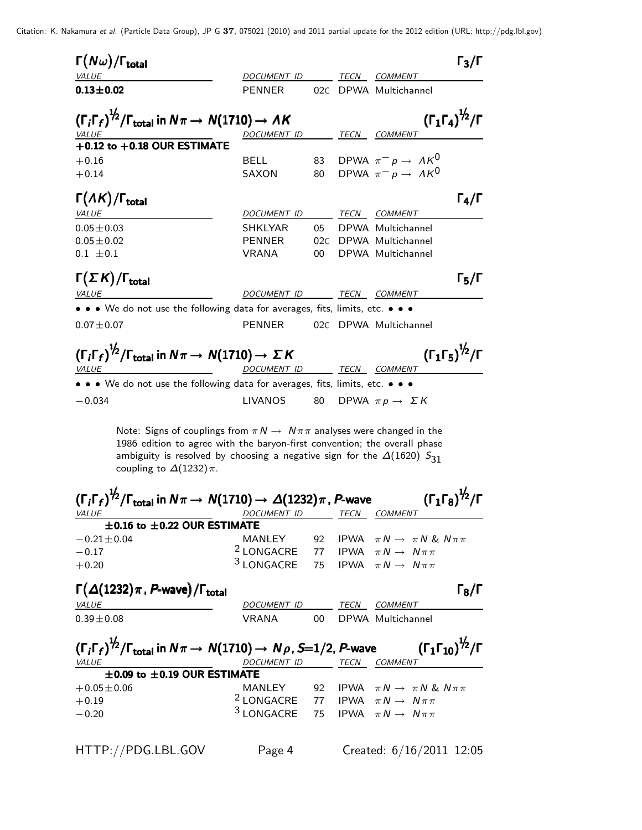Citation: K. Nakamura et al. (Particle Data Group), JP G **37**, 075021 (2010) and 2011 partial update for the 2012 edition (URL: http://pdg.lbl.gov)

| $\Gamma(N\omega)/\Gamma_{\rm total}$                                                                                            |                    |    |      |                                                                  | $\Gamma_3/\Gamma$                            |
|---------------------------------------------------------------------------------------------------------------------------------|--------------------|----|------|------------------------------------------------------------------|----------------------------------------------|
| <b>VALUE</b>                                                                                                                    | DOCUMENT ID        |    |      | TECN COMMENT                                                     |                                              |
| $0.13 \pm 0.02$                                                                                                                 | <b>PENNER</b>      |    |      | 02C DPWA Multichannel                                            |                                              |
| $(\Gamma_i \Gamma_f)^{\frac{1}{2}} / \Gamma_{\text{total}}$ in $N\pi \to N(1710) \to AK$                                        |                    |    |      |                                                                  | $(\Gamma_1 \Gamma_4)^{\frac{1}{2}} / \Gamma$ |
| VALUE<br>$+0.12$ to $+0.18$ OUR ESTIMATE                                                                                        | DOCUMENT ID        |    | TECN | COMMENT                                                          |                                              |
|                                                                                                                                 |                    |    |      |                                                                  |                                              |
| $+0.16$                                                                                                                         | <b>BELL</b>        | 83 |      | DPWA $\pi^- p \to \Lambda K^0$<br>DPWA $\pi^- p \to \Lambda K^0$ |                                              |
| $+0.14$                                                                                                                         | SAXON              | 80 |      |                                                                  |                                              |
| $\Gamma(\Lambda K)/\Gamma_{\rm total}$                                                                                          |                    |    |      |                                                                  | $\Gamma_4/\Gamma$                            |
| <b>VALUE</b>                                                                                                                    | DOCUMENT ID        |    |      | TECN COMMENT                                                     |                                              |
| $0.05 \pm 0.03$                                                                                                                 | <b>SHKLYAR</b>     | 05 |      | DPWA Multichannel                                                |                                              |
| $0.05 \pm 0.02$                                                                                                                 | PENNER             |    |      | 02C DPWA Multichannel                                            |                                              |
| $0.1 \pm 0.1$                                                                                                                   | <b>VRANA</b>       | 00 |      | DPWA Multichannel                                                |                                              |
| $\Gamma(\Sigma K)/\Gamma_{\rm total}$                                                                                           |                    |    |      |                                                                  | $\Gamma_5/\Gamma$                            |
| <i>VALUE</i>                                                                                                                    | DOCUMENT ID        |    |      | <b>TECN COMMENT</b>                                              |                                              |
| • • • We do not use the following data for averages, fits, limits, etc. • • •                                                   |                    |    |      |                                                                  |                                              |
| $0.07 + 0.07$                                                                                                                   | <b>PENNER</b>      |    |      | 02C DPWA Multichannel                                            |                                              |
| $(\Gamma_i \Gamma_f)^{\frac{1}{2}} / \Gamma_{\text{total}}$ in $N \pi \rightarrow N(1710) \rightarrow \Sigma K$<br><b>VALUE</b> | <b>DOCUMENT ID</b> |    |      | TECN COMMENT                                                     | $({\Gamma_1 \Gamma_5})^{1/2}/{\Gamma}$       |
| • • • We do not use the following data for averages, fits, limits, etc. • • •                                                   |                    |    |      |                                                                  |                                              |
|                                                                                                                                 |                    |    |      |                                                                  |                                              |
| $-0.034$                                                                                                                        | LIVANOS            | 80 |      | DPWA $\pi p \rightarrow \Sigma K$                                |                                              |
|                                                                                                                                 |                    |    |      |                                                                  |                                              |

Note: Signs of couplings from  $\pi N \to N \pi \pi$  analyses were changed in the 1986 edition to agree with the baryon-first convention; the overall phase ambiguity is resolved by choosing a negative sign for the  $\Delta(1620)$   $S_{31}$ coupling to  $\Delta(1232)\pi$ .

| $(\Gamma_i \Gamma_f)^{\frac{1}{2}} / \Gamma_{total}$ in $N\pi \rightarrow N(1710) \rightarrow \Delta(1232)\pi$ , P-wave   |                                                             |    |      | $(\Gamma_1 \Gamma_8)^{\frac{1}{2}} / \Gamma$          |
|---------------------------------------------------------------------------------------------------------------------------|-------------------------------------------------------------|----|------|-------------------------------------------------------|
| VALUE                                                                                                                     | DOCUMENT ID                                                 |    | TECN | <b>COMMENT</b>                                        |
| $\pm 0.16$ to $\pm 0.22$ OUR ESTIMATE                                                                                     |                                                             |    |      |                                                       |
| $-0.21 \pm 0.04$                                                                                                          |                                                             |    |      | MANLEY 92 IPWA $\pi N \rightarrow \pi N \& N \pi \pi$ |
| $-0.17$                                                                                                                   | <sup>2</sup> LONGACRE 77                                    |    |      | IPWA $\pi N \rightarrow N \pi \pi$                    |
| $+0.20$                                                                                                                   | <sup>3</sup> LONGACRE 75 IPWA $\pi N \rightarrow N \pi \pi$ |    |      |                                                       |
| $\Gamma(\Delta(1232)\pi, P$ -wave)/ $\Gamma_{\text{total}}$                                                               |                                                             |    |      | $\Gamma_8/\Gamma$                                     |
| VALUE                                                                                                                     | DOCUMENT ID                                                 |    | TECN | <b>COMMENT</b>                                        |
| $0.39 \pm 0.08$                                                                                                           | VRANA                                                       | 00 |      | DPWA Multichannel                                     |
| $(\Gamma_i \Gamma_f)^{\frac{1}{2}}/\Gamma_{\text{total}}$ in $N\pi \rightarrow N(1710) \rightarrow N\rho$ , S=1/2, P-wave |                                                             |    |      | $\left(\Gamma_{1}\Gamma_{10}\right)^{\frac{1}{2}}$ /Г |
| VALUE                                                                                                                     | DOCUMENT ID                                                 |    | TECN | <b>COMMENT</b>                                        |
| $\pm 0.09$ to $\pm 0.19$ OUR ESTIMATE                                                                                     |                                                             |    |      |                                                       |
| $+0.05 \pm 0.06$                                                                                                          |                                                             |    |      | MANLEY 92 IPWA $\pi N \rightarrow \pi N \& N \pi \pi$ |
| $+0.19$                                                                                                                   | <sup>2</sup> LONGACRE 77 IPWA $\pi N \rightarrow N \pi \pi$ |    |      |                                                       |
| $-0.20$                                                                                                                   | <sup>3</sup> LONGACRE 75 IPWA $\pi N \rightarrow N \pi \pi$ |    |      |                                                       |
|                                                                                                                           |                                                             |    |      |                                                       |

HTTP://PDG.LBL.GOV Page 4 Created: 6/16/2011 12:05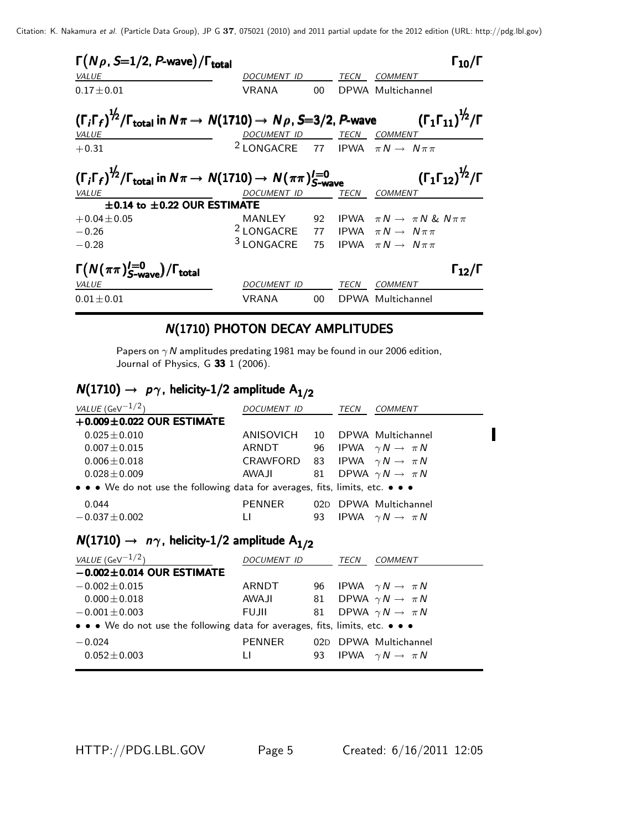Citation: K. Nakamura et al. (Particle Data Group), JP G **37**, 075021 (2010) and 2011 partial update for the 2012 edition (URL: http://pdg.lbl.gov)

| $\Gamma(N\rho, S=1/2, P$ -wave)/ $\Gamma_{\text{total}}$                                                                                                |                                                                       |                 |      | 110/1                                                           |
|---------------------------------------------------------------------------------------------------------------------------------------------------------|-----------------------------------------------------------------------|-----------------|------|-----------------------------------------------------------------|
| <b>VALUE</b>                                                                                                                                            | DOCUMENT ID                                                           |                 |      | TECN COMMENT                                                    |
| $0.17 \pm 0.01$                                                                                                                                         | VRANA                                                                 | 00 <sup>1</sup> |      | DPWA Multichannel                                               |
| $(\Gamma_i \Gamma_f)^{1/2}/\Gamma_{\text{total}}$ in $N\pi \to N(1710) \to N\rho$ , S=3/2, P-wave $(\Gamma_1 \Gamma_{11})^{1/2}/\Gamma$<br><b>VALUE</b> |                                                                       |                 |      |                                                                 |
| $+0.31$                                                                                                                                                 | $\frac{DOCUMENT ID}{2$ LONGACRE 77 IPWA $\pi N \rightarrow N \pi \pi$ |                 |      |                                                                 |
| $(\Gamma_i \Gamma_f)^{1/2}/\Gamma_{\text{total}}$ in $N\pi \to N(1710) \to N(\pi\pi)_{S-\text{wave}}^{I=0}$<br>VALUE                                    | DOCUMENT ID                                                           |                 |      | $(\Gamma_1 \Gamma_{12})^{\frac{1}{2}} / \Gamma$<br>TECN COMMENT |
| $\pm$ 0.14 to $\pm$ 0.22 OUR ESTIMATE                                                                                                                   |                                                                       |                 |      |                                                                 |
| $+0.04 \pm 0.05$                                                                                                                                        |                                                                       |                 |      | MANLEY 92 IPWA $\pi N \rightarrow \pi N \& N \pi \pi$           |
| $-0.26$                                                                                                                                                 | <sup>2</sup> LONGACRE                                                 |                 |      | 77 IPWA $\pi N \rightarrow N \pi \pi$                           |
| $-0.28$                                                                                                                                                 | $3$ LONGACRE                                                          |                 |      | 75 IPWA $\pi N \rightarrow N \pi \pi$                           |
| $\Gamma(N(\pi\pi)^{I=0}_{S\text{-wave}})/\Gamma_{\text{total}}$<br>VALUE                                                                                | DOCUMENT ID                                                           |                 | TECN | 112/1<br><b>COMMENT</b>                                         |
| $0.01 \pm 0.01$                                                                                                                                         | VRANA                                                                 | 00 <sup>°</sup> |      | DPWA Multichannel                                               |

### N(1710) PHOTON DECAY AMPLITUDES

Papers on  $\gamma$  N amplitudes predating 1981 may be found in our 2006 edition, Journal of Physics, G 33 1 (2006).

## $N(1710) \rightarrow p\gamma$ , helicity-1/2 amplitude  $A_{1/2}$

| VALUE (GeV $^{-1/2}$ )                                                        | <i>DOCUMENT ID</i>                    |    | TECN | <b>COMMENT</b>                       |
|-------------------------------------------------------------------------------|---------------------------------------|----|------|--------------------------------------|
| $+0.009 \pm 0.022$ OUR ESTIMATE                                               |                                       |    |      |                                      |
| $0.025 \pm 0.010$                                                             | ANISOVICH 10                          |    |      | DPWA Multichannel                    |
| $0.007 \pm 0.015$                                                             | ARNDT                                 | 96 |      | IPWA $\gamma N \to \pi N$            |
| $0.006 \pm 0.018$                                                             | CRAWFORD 83 IPWA $\gamma N \to \pi N$ |    |      |                                      |
| $0.028 \pm 0.009$                                                             | AWAJI                                 |    |      | 81 DPWA $\gamma N \rightarrow \pi N$ |
| • • • We do not use the following data for averages, fits, limits, etc. • • • |                                       |    |      |                                      |
| 0.044                                                                         | <b>PENNER</b>                         |    |      | 02D DPWA Multichannel                |
| $-0.037 \pm 0.002$                                                            | п                                     | 93 |      | IPWA $\gamma N \to \pi N$            |

# $N(1710) \rightarrow n\gamma$ , helicity-1/2 amplitude A<sub>1/2</sub>

| VALUE (GeV $^{-1/2}$ )                                                        | <i>DOCUMENT ID</i> |     | <i>TECN</i> | COMMENT                              |
|-------------------------------------------------------------------------------|--------------------|-----|-------------|--------------------------------------|
| $-0.002 \pm 0.014$ OUR ESTIMATE                                               |                    |     |             |                                      |
| $-0.002 \pm 0.015$                                                            | ARNDT              |     |             | 96 IPWA $\gamma N \rightarrow \pi N$ |
| $0.000 \pm 0.018$                                                             | AWAJI              |     |             | 81 DPWA $\gamma N \rightarrow \pi N$ |
| $-0.001 \pm 0.003$                                                            | FUJII              |     |             | 81 DPWA $\gamma N \rightarrow \pi N$ |
| • • • We do not use the following data for averages, fits, limits, etc. • • • |                    |     |             |                                      |
| $-0.024$                                                                      | <b>PENNER</b>      |     |             | 02D DPWA Multichannel                |
| $0.052 \pm 0.003$                                                             | $\mathbf{L}$       | 93. |             | IPWA $\gamma N \to \pi N$            |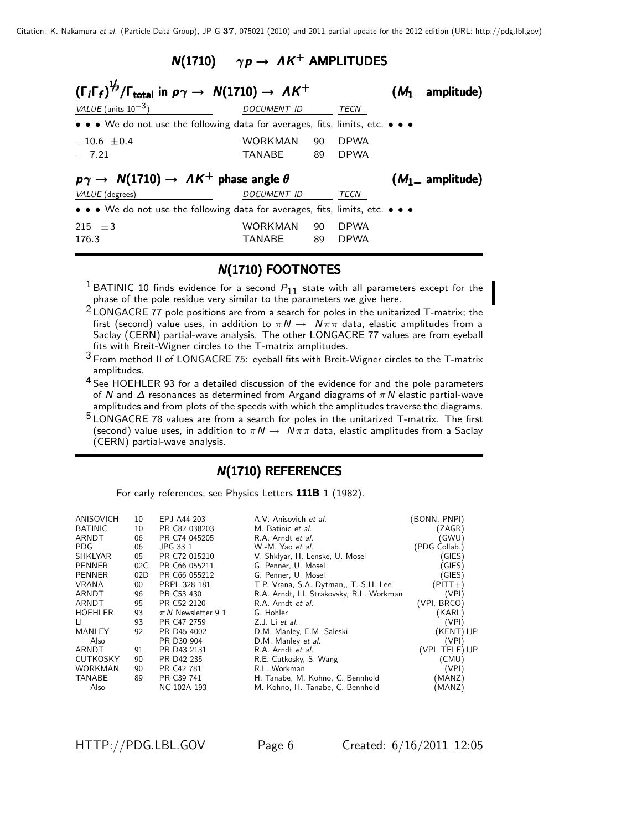### $N(1710)$   $\gamma p \rightarrow AK^+$  AMPLITUDES

| $(\Gamma_i \Gamma_f)^{\frac{1}{2}} / \Gamma_{\text{total}}$ in $p\gamma \rightarrow N(1710) \rightarrow AK^+$         |                    |    |             | $(M_1$ amplitude) |  |
|-----------------------------------------------------------------------------------------------------------------------|--------------------|----|-------------|-------------------|--|
| VALUE (units $10^{-3}$ )                                                                                              | <b>DOCUMENT ID</b> |    | TECN        |                   |  |
| • • • We do not use the following data for averages, fits, limits, etc. • • •                                         |                    |    |             |                   |  |
| $-10.6 + 0.4$                                                                                                         | <b>WORKMAN</b>     | 90 | <b>DPWA</b> |                   |  |
| $-7.21$                                                                                                               | TANABE             | 89 | <b>DPWA</b> |                   |  |
| $p\gamma \rightarrow N(1710) \rightarrow AK^+$ phase angle $\theta$<br>$(M_1$ amplitude)                              |                    |    |             |                   |  |
|                                                                                                                       |                    |    |             |                   |  |
| VALUE (degrees)                                                                                                       | <b>DOCUMENT ID</b> |    | TECN        |                   |  |
| $\bullet \bullet \bullet$ We do not use the following data for averages, fits, limits, etc. $\bullet \bullet \bullet$ |                    |    |             |                   |  |

#### **N(1710) FOOTNOTES**

- $1$ BATINIC 10 finds evidence for a second  $P_{11}$  state with all parameters except for the phase of the pole residue very similar to the parameters we give here.
- <sup>2</sup> LONGACRE 77 pole positions are from a search for poles in the unitarized T-matrix; the first (second) value uses, in addition to  $\pi N \to N \pi \pi$  data, elastic amplitudes from a Saclay (CERN) partial-wave analysis. The other LONGACRE 77 values are from eyeball fits with Breit-Wigner circles to the T-matrix amplitudes.
- 3 From method II of LONGACRE 75: eyeball fits with Breit-Wigner circles to the T-matrix amplitudes.
- <sup>4</sup> See HOEHLER 93 for a detailed discussion of the evidence for and the pole parameters of N and  $\Delta$  resonances as determined from Argand diagrams of  $\pi N$  elastic partial-wave amplitudes and from plots of the speeds with which the amplitudes traverse the diagrams.
- 5 LONGACRE 78 values are from a search for poles in the unitarized T-matrix. The first (second) value uses, in addition to  $\pi\,N\rightarrow~N\pi\pi$  data, elastic amplitudes from a Saclay (CERN) partial-wave analysis.

#### **N(1710) REFERENCES**

For early references, see Physics Letters 111B 1 (1982).

| ANISOVICH       | 10              | EPJ A44 203            | A.V. Anisovich et al.                     | (BONN, PNPI)    |
|-----------------|-----------------|------------------------|-------------------------------------------|-----------------|
| <b>BATINIC</b>  | 10              | PR C82 038203          | M. Batinic et al.                         | (ZAGR)          |
| ARNDT           | 06              | PR C74 045205          | R.A. Arndt et al.                         | (GWU)           |
| PDG.            | 06              | $JPG$ 33 1             | W.-M. Yao et al.                          | (PDG Collab.)   |
| <b>SHKLYAR</b>  | 05              | PR C72 015210          | V. Shklyar, H. Lenske, U. Mosel           | (GIES)          |
| <b>PENNER</b>   | 02C             | PR C66 055211          | G. Penner, U. Mosel                       | <b>GIES</b> )   |
| <b>PENNER</b>   | 02D             | PR C66 055212          | G. Penner, U. Mosel                       | (GIES)          |
| <b>VRANA</b>    | 00 <sup>1</sup> | PRPL 328 181           | T.P. Vrana, S.A. Dytman., T.-S.H. Lee     | $(PITT+)$       |
| ARNDT           | 96              | PR C <sub>53</sub> 430 | R.A. Arndt, I.I. Strakovsky, R.L. Workman | (VPI)           |
| ARNDT           | 95              | PR C52 2120            | R.A. Arndt et al.                         | (VPI, BRCO)     |
| <b>HOEHLER</b>  | 93              | $\pi N$ Newsletter 9 1 | G. Hohler                                 | (KARL)          |
| LI.             | 93              | PR C47 2759            | Z.J. Li et al.                            | (VPI)           |
| MANLEY          | 92              | PR D45 4002            | D.M. Manley, E.M. Saleski                 | (KENT) IJP      |
| Also            |                 | PR D30 904             | D.M. Manley et al.                        | (VPI)           |
| ARNDT           | 91              | PR D43 2131            | R.A. Arndt et al.                         | (VPI, TELE) IJP |
| <b>CUTKOSKY</b> | 90              | PR D42 235             | R.E. Cutkosky, S. Wang                    | (CMU)           |
| <b>WORKMAN</b>  | 90              | PR C42 781             | R.L. Workman                              | (VPI)           |
| <b>TANABE</b>   | 89              | PR C39 741             | H. Tanabe, M. Kohno, C. Bennhold          | (MANZ)          |
| Also            |                 | NC 102A 193            | M. Kohno, H. Tanabe, C. Bennhold          | (MANZ)          |